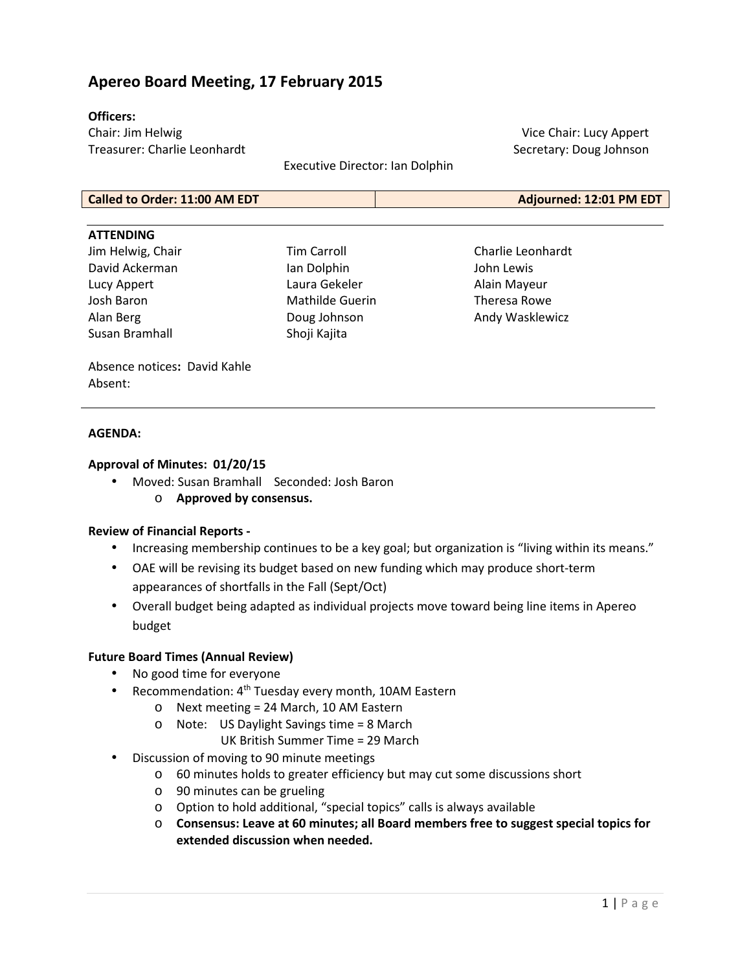# **Apereo Board Meeting, 17 February 2015**

#### **Officers:**

Chair: Jim Helwig Treasurer: Charlie Leonhardt

Executive Director: Ian Dolphin

Vice Chair: Lucy Appert Secretary: Doug Johnson

**Called to Order: 11:00 AM EDT Adjourned: 12:01 PM EDT**

#### **ATTENDING**

Jim Helwig, Chair David Ackerman Lucy Appert Josh Baron Alan Berg Susan Bramhall

Tim Carroll Ian Dolphin Laura Gekeler Mathilde Guerin Doug Johnson Shoji Kajita

Charlie Leonhardt John Lewis Alain Mayeur Theresa Rowe Andy Wasklewicz

Absence notices**:** David Kahle Absent:

#### **AGENDA:**

# **Approval of Minutes: 01/20/15**

- Moved: Susan Bramhall Seconded: Josh Baron
	- o **Approved by consensus.**

# **Review of Financial Reports -**

- Increasing membership continues to be a key goal; but organization is "living within its means."
- OAE will be revising its budget based on new funding which may produce short-term appearances of shortfalls in the Fall (Sept/Oct)
- Overall budget being adapted as individual projects move toward being line items in Apereo budget

# **Future Board Times (Annual Review)**

- No good time for everyone
- Recommendation: 4<sup>th</sup> Tuesday every month, 10AM Eastern
	- o Next meeting = 24 March, 10 AM Eastern
	- o Note: US Daylight Savings time = 8 March
		- UK British Summer Time = 29 March
- Discussion of moving to 90 minute meetings
	- o 60 minutes holds to greater efficiency but may cut some discussions short
	- o 90 minutes can be grueling
	- o Option to hold additional, "special topics" calls is always available
	- o **Consensus: Leave at 60 minutes; all Board members free to suggest special topics for extended discussion when needed.**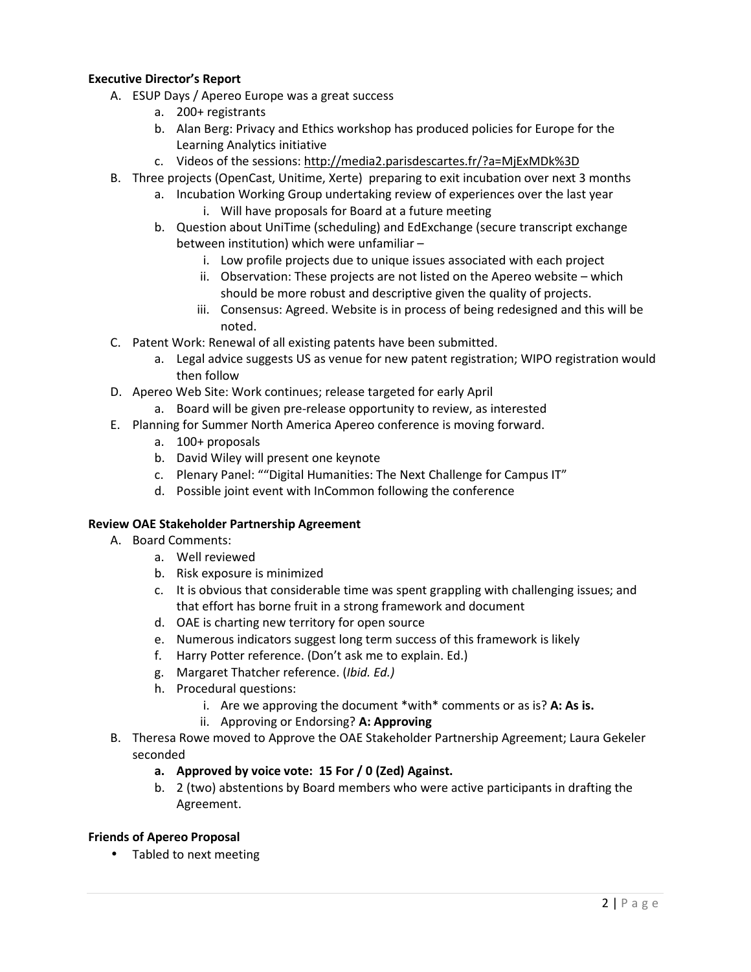# **Executive Director's Report**

- A. ESUP Days / Apereo Europe was a great success
	- a. 200+ registrants
	- b. Alan Berg: Privacy and Ethics workshop has produced policies for Europe for the Learning Analytics initiative
	- c. Videos of the sessions: http://media2.parisdescartes.fr/?a=MjExMDk%3D
- B. Three projects (OpenCast, Unitime, Xerte) preparing to exit incubation over next 3 months
	- a. Incubation Working Group undertaking review of experiences over the last year
		- i. Will have proposals for Board at a future meeting
	- b. Question about UniTime (scheduling) and EdExchange (secure transcript exchange between institution) which were unfamiliar –
		- i. Low profile projects due to unique issues associated with each project
		- ii. Observation: These projects are not listed on the Apereo website which should be more robust and descriptive given the quality of projects.
		- iii. Consensus: Agreed. Website is in process of being redesigned and this will be noted.
- C. Patent Work: Renewal of all existing patents have been submitted.
	- a. Legal advice suggests US as venue for new patent registration; WIPO registration would then follow
- D. Apereo Web Site: Work continues; release targeted for early April
	- a. Board will be given pre-release opportunity to review, as interested
- E. Planning for Summer North America Apereo conference is moving forward.
	- a. 100+ proposals
	- b. David Wiley will present one keynote
	- c. Plenary Panel: ""Digital Humanities: The Next Challenge for Campus IT"
	- d. Possible joint event with InCommon following the conference

# **Review OAE Stakeholder Partnership Agreement**

- A. Board Comments:
	- a. Well reviewed
	- b. Risk exposure is minimized
	- c. It is obvious that considerable time was spent grappling with challenging issues; and that effort has borne fruit in a strong framework and document
	- d. OAE is charting new territory for open source
	- e. Numerous indicators suggest long term success of this framework is likely
	- f. Harry Potter reference. (Don't ask me to explain. Ed.)
	- g. Margaret Thatcher reference. (*Ibid. Ed.)*
	- h. Procedural questions:
		- i. Are we approving the document \*with\* comments or as is? **A: As is.**
		- ii. Approving or Endorsing? **A: Approving**
- B. Theresa Rowe moved to Approve the OAE Stakeholder Partnership Agreement; Laura Gekeler seconded
	- **a. Approved by voice vote: 15 For / 0 (Zed) Against.**
	- b. 2 (two) abstentions by Board members who were active participants in drafting the Agreement.

# **Friends of Apereo Proposal**

• Tabled to next meeting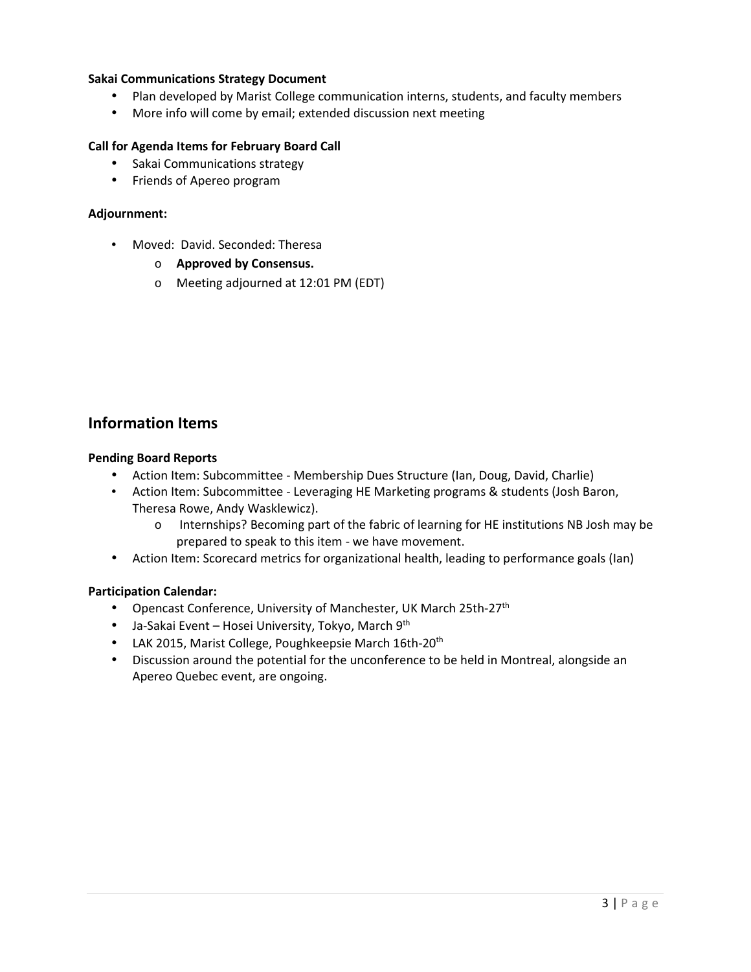# **Sakai Communications Strategy Document**

- Plan developed by Marist College communication interns, students, and faculty members
- More info will come by email; extended discussion next meeting

#### **Call for Agenda Items for February Board Call**

- Sakai Communications strategy
- Friends of Apereo program

#### **Adjournment:**

- Moved: David. Seconded: Theresa
	- o **Approved by Consensus.**
	- o Meeting adjourned at 12:01 PM (EDT)

# **Information Items**

#### **Pending Board Reports**

- Action Item: Subcommittee Membership Dues Structure (Ian, Doug, David, Charlie)
- Action Item: Subcommittee Leveraging HE Marketing programs & students (Josh Baron, Theresa Rowe, Andy Wasklewicz).
	- o Internships? Becoming part of the fabric of learning for HE institutions NB Josh may be prepared to speak to this item - we have movement.
- Action Item: Scorecard metrics for organizational health, leading to performance goals (Ian)

# **Participation Calendar:**

- Opencast Conference, University of Manchester, UK March 25th-27<sup>th</sup>
- Ja-Sakai Event Hosei University, Tokyo, March 9<sup>th</sup>
- LAK 2015, Marist College, Poughkeepsie March 16th-20<sup>th</sup>
- Discussion around the potential for the unconference to be held in Montreal, alongside an Apereo Quebec event, are ongoing.